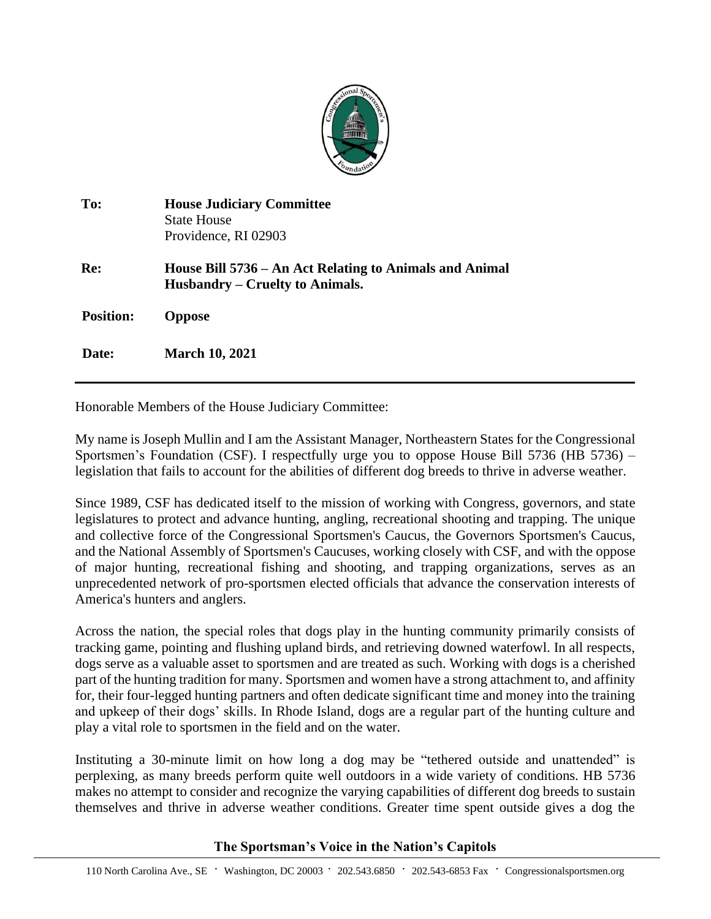

| To:              | <b>House Judiciary Committee</b><br><b>State House</b><br>Providence, RI 02903             |
|------------------|--------------------------------------------------------------------------------------------|
| Re:              | House Bill 5736 – An Act Relating to Animals and Animal<br>Husbandry – Cruelty to Animals. |
| <b>Position:</b> | <b>Oppose</b>                                                                              |
| Date:            | <b>March 10, 2021</b>                                                                      |

Honorable Members of the House Judiciary Committee:

My name is Joseph Mullin and I am the Assistant Manager, Northeastern States for the Congressional Sportsmen's Foundation (CSF). I respectfully urge you to oppose House Bill 5736 (HB 5736) – legislation that fails to account for the abilities of different dog breeds to thrive in adverse weather.

Since 1989, CSF has dedicated itself to the mission of working with Congress, governors, and state legislatures to protect and advance hunting, angling, recreational shooting and trapping. The unique and collective force of the Congressional Sportsmen's Caucus, the Governors Sportsmen's Caucus, and the National Assembly of Sportsmen's Caucuses, working closely with CSF, and with the oppose of major hunting, recreational fishing and shooting, and trapping organizations, serves as an unprecedented network of pro-sportsmen elected officials that advance the conservation interests of America's hunters and anglers.

Across the nation, the special roles that dogs play in the hunting community primarily consists of tracking game, pointing and flushing upland birds, and retrieving downed waterfowl. In all respects, dogs serve as a valuable asset to sportsmen and are treated as such. Working with dogs is a cherished part of the hunting tradition for many. Sportsmen and women have a strong attachment to, and affinity for, their four-legged hunting partners and often dedicate significant time and money into the training and upkeep of their dogs' skills. In Rhode Island, dogs are a regular part of the hunting culture and play a vital role to sportsmen in the field and on the water.

Instituting a 30-minute limit on how long a dog may be "tethered outside and unattended" is perplexing, as many breeds perform quite well outdoors in a wide variety of conditions. HB 5736 makes no attempt to consider and recognize the varying capabilities of different dog breeds to sustain themselves and thrive in adverse weather conditions. Greater time spent outside gives a dog the

## **The Sportsman's Voice in the Nation's Capitols**